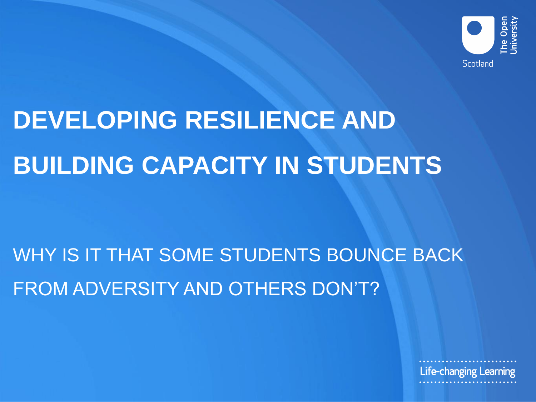

# **DEVELOPING RESILIENCE AND BUILDING CAPACITY IN STUDENTS**

## WHY IS IT THAT SOME STUDENTS BOUNCE BACK FROM ADVERSITY AND OTHERS DON'T?

Life-changing Learning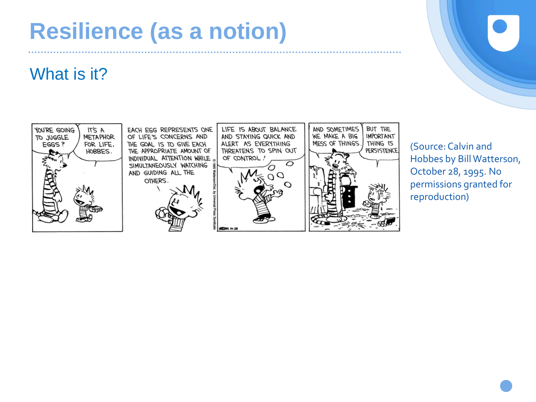## **Resilience (as a notion)**

#### What is it?



(Source: Calvin and Hobbes by Bill Watterson, October 28, 1995. No permissions granted for reproduction)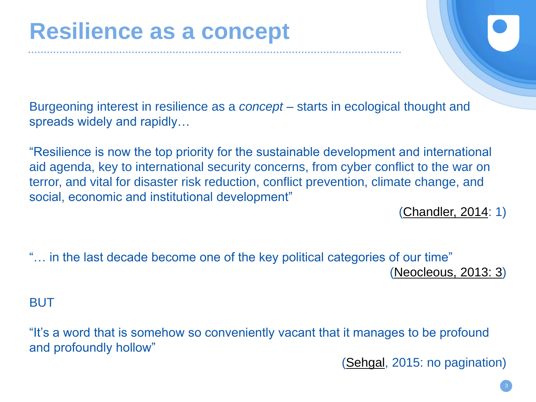Burgeoning interest in resilience as a *concept* – starts in ecological thought and spreads widely and rapidly…

"Resilience is now the top priority for the sustainable development and international aid agenda, key to international security concerns, from cyber conflict to the war on terror, and vital for disaster risk reduction, conflict prevention, climate change, and social, economic and institutional development"

([Chandler, 2014:](https://books.google.co.uk/books?hl=en&lr=&id=AWqLAwAAQBAJ&oi=fnd&pg=PP1&dq=Chandler,+2014+resilience&ots=NW7jgC_Sg9&sig=oko0iK-ycK877Tis4aaLRln8r38#v=onepage&q=Chandler%2C%202014%20resilience&f=false) 1)

"… in the last decade become one of the key political categories of our time" [\(Neocleous, 2013: 3\)](https://www.radicalphilosophy.com/commentary/resisting-resilience)

BUT

"It's a word that is somehow so conveniently vacant that it manages to be profound and profoundly hollow"

([Sehgal](http://www.nytimes.com/2015/12/06/magazine/the-profound-emptiness-of-resilience.html), 2015: no pagination)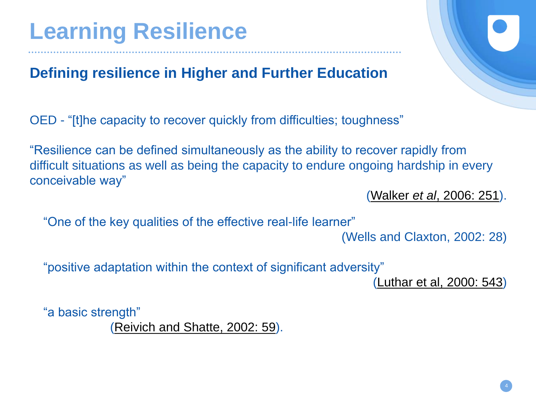## **Learning Resilience**

#### **Defining resilience in Higher and Further Education**

OED - "[t]he capacity to recover quickly from difficulties; toughness"

"Resilience can be defined simultaneously as the ability to recover rapidly from difficult situations as well as being the capacity to endure ongoing hardship in every conceivable way"

(Walker *et al*[, 2006: 251\)](http://www.tandfonline.com/doi/abs/10.1080/03055690600631184).

"One of the key qualities of the effective real-life learner"

(Wells and Claxton, 2002: 28)

"positive adaptation within the context of significant adversity"

[\(Luthar et al, 2000: 543](http://onlinelibrary.wiley.com/doi/10.1111/1467-8624.00164/full))

"a basic strength"

[\(Reivich and Shatte, 2002: 59\)](https://books.google.co.uk/books/about/The_Resilience_Factor.html?id=Ons_LmZYdyQC&redir_esc=y).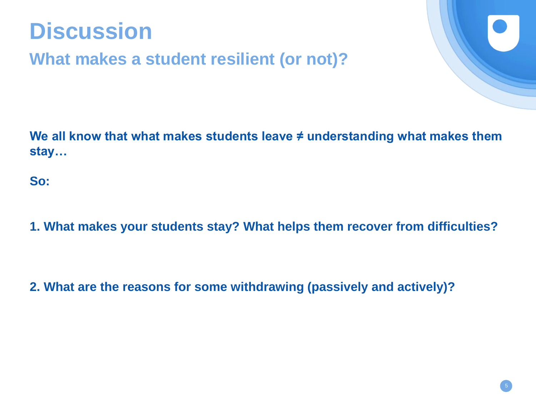

**What makes a student resilient (or not)?**

We all know that what makes students leave ≠ understanding what makes them **stay…** 

**So:**

**1. What makes your students stay? What helps them recover from difficulties?**

**2. What are the reasons for some withdrawing (passively and actively)?**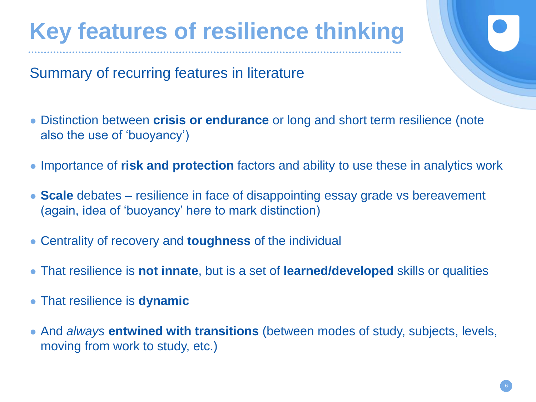## **Key features of resilience thinking**

Summary of recurring features in literature

- Distinction between **crisis or endurance** or long and short term resilience (note also the use of 'buoyancy')
- Importance of **risk and protection** factors and ability to use these in analytics work
- Scale debates resilience in face of disappointing essay grade vs bereavement (again, idea of 'buoyancy' here to mark distinction)
- Centrality of recovery and **toughness** of the individual
- That resilience is **not innate**, but is a set of **learned/developed** skills or qualities
- That resilience is **dynamic**
- And *always* **entwined with transitions** (between modes of study, subjects, levels, moving from work to study, etc.)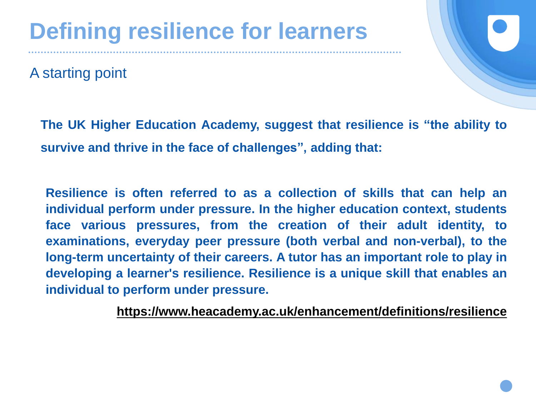A starting point



**The UK Higher Education Academy, suggest that resilience is "the ability to survive and thrive in the face of challenges", adding that:**

**Resilience is often referred to as a collection of skills that can help an individual perform under pressure. In the higher education context, students face various pressures, from the creation of their adult identity, to examinations, everyday peer pressure (both verbal and non-verbal), to the long-term uncertainty of their careers. A tutor has an important role to play in developing a learner's resilience. Resilience is a unique skill that enables an individual to perform under pressure.**

**<https://www.heacademy.ac.uk/enhancement/definitions/resilience>**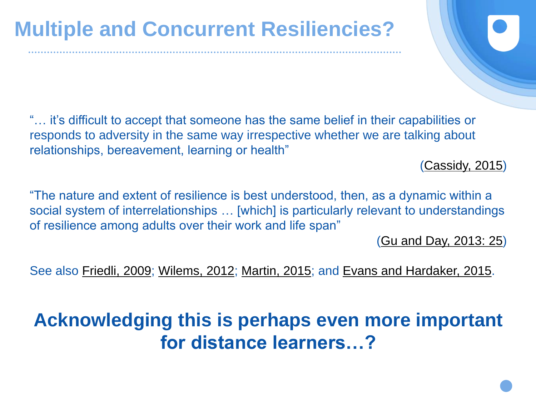"… it's difficult to accept that someone has the same belief in their capabilities or responds to adversity in the same way irrespective whether we are talking about relationships, bereavement, learning or health"

[\(Cassidy, 2015](http://journal.frontiersin.org/article/10.3389/fpsyg.2015.01781/full))

"The nature and extent of resilience is best understood, then, as a dynamic within a social system of interrelationships … [which] is particularly relevant to understandings of resilience among adults over their work and life span"

[\(Gu and Day, 2013: 25](http://onlinelibrary.wiley.com/doi/10.1080/01411926.2011.623152/full))

See also [Friedli, 2009;](http://www.euro.who.int/__data/assets/pdf_file/0012/100821/E92227.pdf) [Wilems, 2012;](http://www.jofdl.nz/index.php/JOFDL/article/view/104) [Martin, 2015](http://www.emeraldinsight.com/doi/abs/10.1108/JME-05-2015-0015); and [Evans and Hardaker, 2015.](http://www.emeraldinsight.com/doi/abs/10.1108/JME-06-2015-0020)

### **Acknowledging this is perhaps even more important for distance learners…?**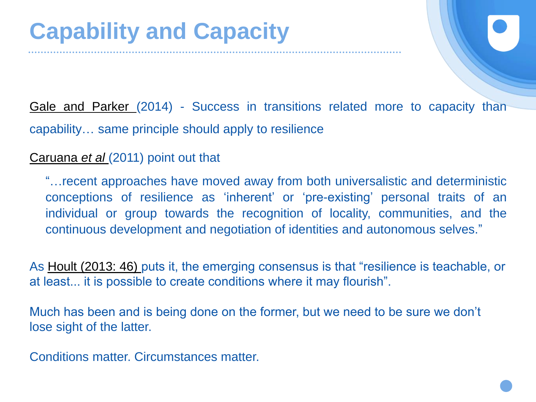Gale and [Parker](http://srhe.tandfonline.com/doi/abs/10.1080/03075079.2012.721351) (2014) - Success in transitions related more to capacity than capability… same principle should apply to resilience

[Caruana](https://www.heacademy.ac.uk/system/files/c-sap_literature_review020811.pdf) *et al* (2011) point out that

"…recent approaches have moved away from both universalistic and deterministic conceptions of resilience as 'inherent' or 'pre-existing' personal traits of an individual or group towards the recognition of locality, communities, and the continuous development and negotiation of identities and autonomous selves."

As [Hoult \(2013: 46\) p](https://www.beds.ac.uk/jpd/volume-3-issue-1/resilience-in-adult-learners-some-pedagogical-implications)uts it, the emerging consensus is that "resilience is teachable, or at least... it is possible to create conditions where it may flourish".

Much has been and is being done on the former, but we need to be sure we don't lose sight of the latter.

Conditions matter. Circumstances matter.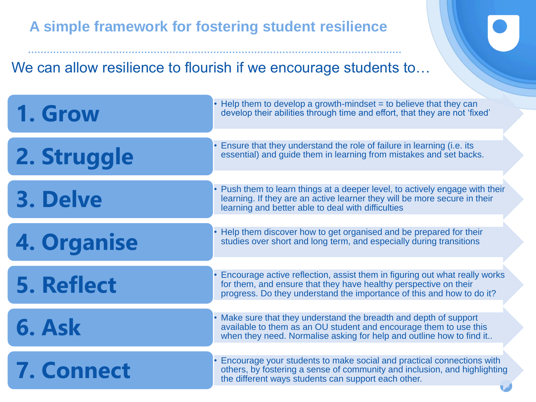#### **A simple framework for fostering student resilience**

#### We can allow resilience to flourish if we encourage students to...

| 1. Grow           | $\cdot$ Help them to develop a growth-mindset = to believe that they can<br>develop their abilities through time and effort, that they are not 'fixed'                                                                  |
|-------------------|-------------------------------------------------------------------------------------------------------------------------------------------------------------------------------------------------------------------------|
| 2. Struggle       | Ensure that they understand the role of failure in learning (i.e. its<br>essential) and guide them in learning from mistakes and set backs.                                                                             |
| 3. Delve          | • Push them to learn things at a deeper level, to actively engage with their<br>learning. If they are an active learner they will be more secure in their<br>learning and better able to deal with difficulties         |
| 4. Organise       | • Help them discover how to get organised and be prepared for their<br>studies over short and long term, and especially during transitions                                                                              |
| <b>5. Reflect</b> | Encourage active reflection, assist them in figuring out what really works<br>for them, and ensure that they have healthy perspective on their<br>progress. Do they understand the importance of this and how to do it? |
| U. ADIN           | • Make sure that they understand the breadth and depth of support<br>available to them as an OU student and encourage them to use this<br>when they need. Normalise asking for help and outline how to find it          |
| <b>7. Connect</b> | Encourage your students to make social and practical connections with<br>others, by fostering a sense of community and inclusion, and highlighting<br>the different ways students can support each other.               |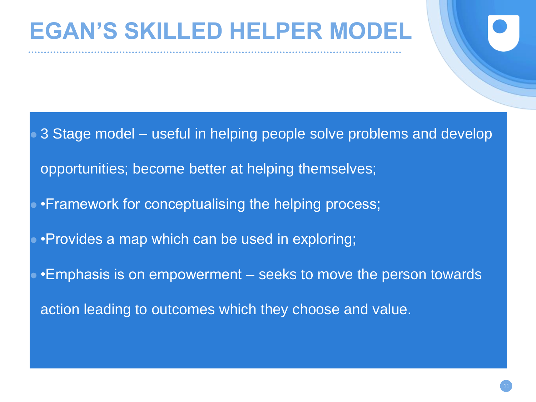## **EGAN'S SKILLED HELPER MODEL**

3 Stage model – useful in helping people solve problems and develop

opportunities; become better at helping themselves;

- •Framework for conceptualising the helping process;
- •Provides a map which can be used in exploring;
- •Emphasis is on empowerment seeks to move the person towards

action leading to outcomes which they choose and value.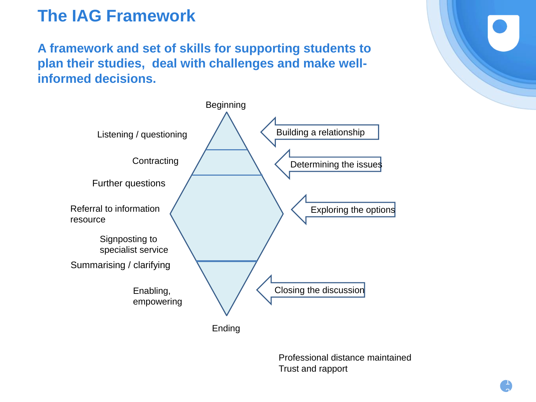#### **The IAG Framework**

**A framework and set of skills for supporting students to plan their studies, deal with challenges and make wellinformed decisions.**



Professional distance maintained Trust and rapport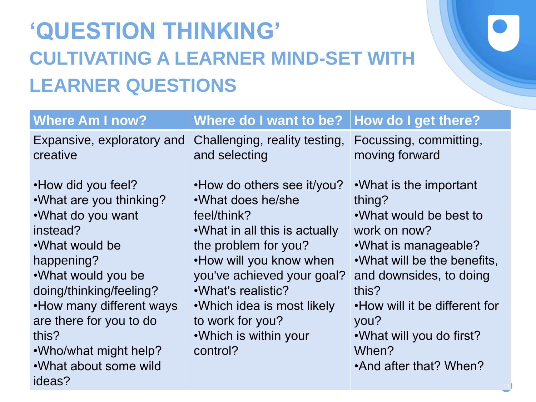## **'QUESTION THINKING' CULTIVATING A LEARNER MIND-SET WITH LEARNER QUESTIONS**

| <b>Where Am I now?</b>                                                                                                                                                                                                                                                                        | Where do I want to be?                                                                                                                                                                                                                                                                            | <b>How do I get there?</b>                                                                                                                                                                                                                                                      |
|-----------------------------------------------------------------------------------------------------------------------------------------------------------------------------------------------------------------------------------------------------------------------------------------------|---------------------------------------------------------------------------------------------------------------------------------------------------------------------------------------------------------------------------------------------------------------------------------------------------|---------------------------------------------------------------------------------------------------------------------------------------------------------------------------------------------------------------------------------------------------------------------------------|
| Expansive, exploratory and<br>creative                                                                                                                                                                                                                                                        | Challenging, reality testing,<br>and selecting                                                                                                                                                                                                                                                    | Focussing, committing,<br>moving forward                                                                                                                                                                                                                                        |
| • How did you feel?<br>.What are you thinking?<br>.What do you want<br>instead?<br>.What would be<br>happening?<br>.What would you be<br>doing/thinking/feeling?<br>. How many different ways<br>are there for you to do<br>this?<br>.Who/what might help?<br>.What about some wild<br>ideas? | • How do others see it/you?<br>.What does he/she<br>feel/think?<br>• What in all this is actually<br>the problem for you?<br>. How will you know when<br>you've achieved your goal?<br>.What's realistic?<br>• Which idea is most likely<br>to work for you?<br>.Which is within your<br>control? | .What is the important<br>thing?<br>.What would be best to<br>work on now?<br>• What is manageable?<br>.What will be the benefits,<br>and downsides, to doing<br>this?<br>. How will it be different for<br>you?<br>.What will you do first?<br>When?<br>•And after that? When? |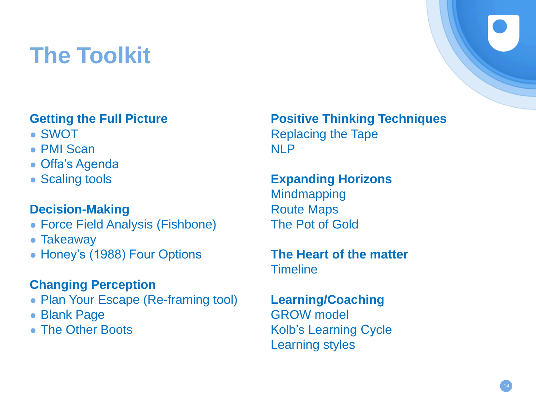## **The Toolkit**

- 
- PMI Scan NLP
- Offa's Agenda
- 

#### **Decision-Making** Route Maps

- Force Field Analysis (Fishbone) The Pot of Gold
- Takeaway
- Honey's (1988) Four Options **The Heart of the matter**

#### **Changing Perception**

- Plan Your Escape (Re-framing tool) **Learning/Coaching**
- 
- 

**Getting the Full Picture Positive Thinking Techniques** • SWOT Replacing the Tape

● Scaling tools **Expanding Horizons Mindmapping** 

**Timeline** 

● Blank Page GROW model • The Other Boots Kolb's Learning Cycle Learning styles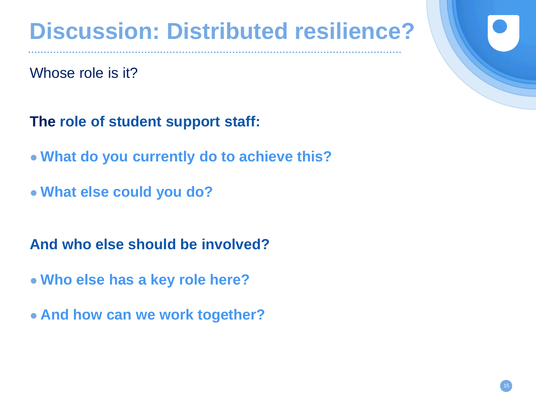## **Discussion: Distributed resilience?**

Whose role is it?

**The role of student support staff:**

- **What do you currently do to achieve this?**
- **What else could you do?**

**And who else should be involved?**

- **Who else has a key role here?**
- **And how can we work together?**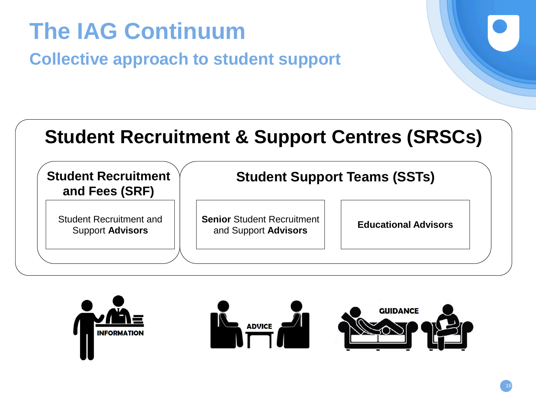### **Student Recruitment and Fees (SRF) Student Support Teams (SSTs) Student Recruitment and Advisers** Support **Advisors** Student Recruitment and  $\begin{vmatrix} \cdot & \cdot & \cdot \\ \cdot & \cdot & \cdot \\ \cdot & \cdot & \cdot \end{vmatrix}$  **Educational Advisors** Support **Advisors** and Support Advisors **Student Recruitment & Support Centres (SRSCs)**

**The IAG Continuum**

**Collective approach to student support**